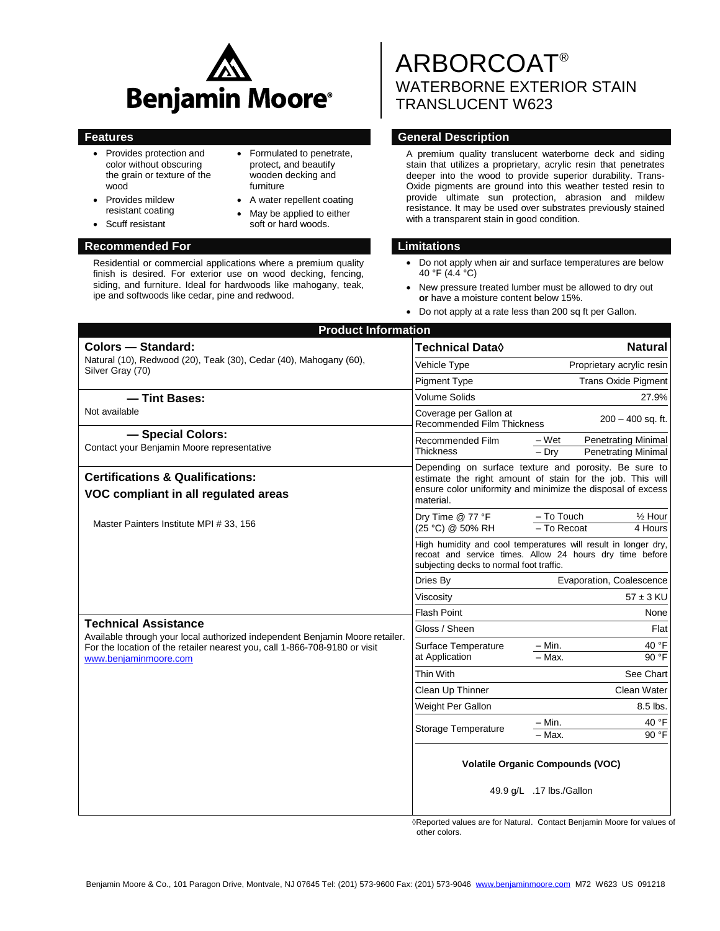

 Formulated to penetrate, protect, and beautify wooden decking and

 A water repellent coating May be applied to either soft or hard woods.

furniture

- Provides protection and color without obscuring the grain or texture of the wood
- Provides mildew resistant coating
- Scuff resistant

#### **Recommended For Limitations**

Residential or commercial applications where a premium quality finish is desired. For exterior use on wood decking, fencing, siding, and furniture. Ideal for hardwoods like mahogany, teak, ipe and softwoods like cedar, pine and redwood.

# ARBORCOAT® WATERBORNE EXTERIOR STAIN TRANSLUCENT W623

### **Features General Description**

A premium quality translucent waterborne deck and siding stain that utilizes a proprietary, acrylic resin that penetrates deeper into the wood to provide superior durability. Trans-Oxide pigments are ground into this weather tested resin to provide ultimate sun protection, abrasion and mildew resistance. It may be used over substrates previously stained with a transparent stain in good condition.

- Do not apply when air and surface temperatures are below 40 °F (4.4 °C)
- New pressure treated lumber must be allowed to dry out **or** have a moisture content below 15%.
- Do not apply at a rate less than 200 sq ft per Gallon.

| <b>Product Information</b>                                                                                                                                                                                         |                                                                                                                                                                                                |                                                                              |  |  |
|--------------------------------------------------------------------------------------------------------------------------------------------------------------------------------------------------------------------|------------------------------------------------------------------------------------------------------------------------------------------------------------------------------------------------|------------------------------------------------------------------------------|--|--|
| <b>Colors - Standard:</b><br>Natural (10), Redwood (20), Teak (30), Cedar (40), Mahogany (60),<br>Silver Gray (70)                                                                                                 | Technical Data◊                                                                                                                                                                                | <b>Natural</b>                                                               |  |  |
|                                                                                                                                                                                                                    | Vehicle Type                                                                                                                                                                                   | Proprietary acrylic resin                                                    |  |  |
|                                                                                                                                                                                                                    | <b>Pigment Type</b>                                                                                                                                                                            | <b>Trans Oxide Pigment</b>                                                   |  |  |
| - Tint Bases:                                                                                                                                                                                                      | Volume Solids                                                                                                                                                                                  | 27.9%                                                                        |  |  |
| Not available                                                                                                                                                                                                      | Coverage per Gallon at<br><b>Recommended Film Thickness</b>                                                                                                                                    | $200 - 400$ sq. ft.                                                          |  |  |
| - Special Colors:<br>Contact your Benjamin Moore representative                                                                                                                                                    | Recommended Film<br><b>Thickness</b>                                                                                                                                                           | – Wet<br><b>Penetrating Minimal</b><br><b>Penetrating Minimal</b><br>$-$ Dry |  |  |
| <b>Certifications &amp; Qualifications:</b>                                                                                                                                                                        | Depending on surface texture and porosity. Be sure to<br>estimate the right amount of stain for the job. This will<br>ensure color uniformity and minimize the disposal of excess<br>material. |                                                                              |  |  |
| VOC compliant in all regulated areas                                                                                                                                                                               |                                                                                                                                                                                                |                                                                              |  |  |
| Master Painters Institute MPI # 33, 156                                                                                                                                                                            | Dry Time @ 77 °F<br>(25 °C) @ 50% RH                                                                                                                                                           | - To Touch<br>$\frac{1}{2}$ Hour<br>- To Recoat<br>4 Hours                   |  |  |
|                                                                                                                                                                                                                    | High humidity and cool temperatures will result in longer dry,<br>recoat and service times. Allow 24 hours dry time before<br>subjecting decks to normal foot traffic.                         |                                                                              |  |  |
|                                                                                                                                                                                                                    | Dries By                                                                                                                                                                                       | Evaporation, Coalescence                                                     |  |  |
|                                                                                                                                                                                                                    | Viscosity                                                                                                                                                                                      | $57 \pm 3$ KU                                                                |  |  |
|                                                                                                                                                                                                                    | <b>Flash Point</b>                                                                                                                                                                             | None                                                                         |  |  |
| <b>Technical Assistance</b><br>Available through your local authorized independent Benjamin Moore retailer.<br>For the location of the retailer nearest you, call 1-866-708-9180 or visit<br>www.benjaminmoore.com | Gloss / Sheen                                                                                                                                                                                  | Flat                                                                         |  |  |
|                                                                                                                                                                                                                    | Surface Temperature<br>at Application                                                                                                                                                          | 40 °F<br>– Min.<br>90 °F<br>$-$ Max.                                         |  |  |
|                                                                                                                                                                                                                    | Thin With                                                                                                                                                                                      | See Chart                                                                    |  |  |
|                                                                                                                                                                                                                    | Clean Up Thinner                                                                                                                                                                               | Clean Water                                                                  |  |  |
|                                                                                                                                                                                                                    | Weight Per Gallon                                                                                                                                                                              | 8.5 lbs.                                                                     |  |  |
|                                                                                                                                                                                                                    | Storage Temperature                                                                                                                                                                            | – Min.<br>40 °F<br>90 °F<br>- Max.                                           |  |  |
|                                                                                                                                                                                                                    | <b>Volatile Organic Compounds (VOC)</b><br>49.9 g/L .17 lbs./Gallon                                                                                                                            |                                                                              |  |  |
|                                                                                                                                                                                                                    |                                                                                                                                                                                                |                                                                              |  |  |

 ◊Reported values are for Natural. Contact Benjamin Moore for values of other colors.